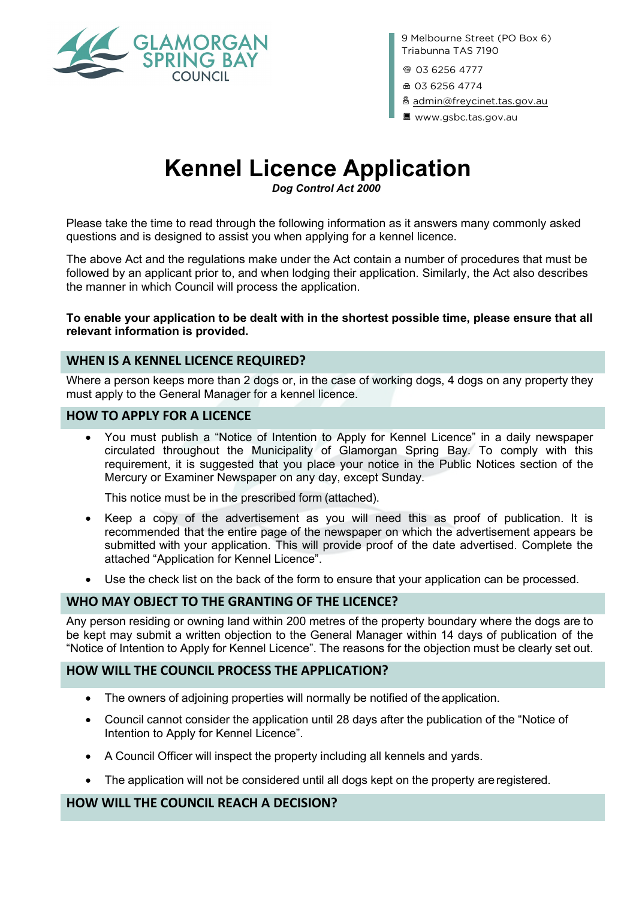

9 Melbourne Street (PO Box 6) Triabunna TAS 7190

@ 03 6256 4777

<sup>品</sup> 03 6256 4774

x [admin@freycinet.tas.gov.au](mailto:admin@freycinet.tas.gov.au)

B www.gsbc.tas.gov.au

# **Kennel Licence Application**

*Dog Control Act 2000*

Please take the time to read through the following information as it answers many commonly asked questions and is designed to assist you when applying for a kennel licence.

The above Act and the regulations make under the Act contain a number of procedures that must be followed by an applicant prior to, and when lodging their application. Similarly, the Act also describes the manner in which Council will process the application.

**To enable your application to be dealt with in the shortest possible time, please ensure that all relevant information is provided.**

### **WHEN IS A KENNEL LICENCE REQUIRED?**

Where a person keeps more than 2 dogs or, in the case of working dogs, 4 dogs on any property they must apply to the General Manager for a kennel licence.

### **HOW TO APPLY FOR A LICENCE**

• You must publish a "Notice of Intention to Apply for Kennel Licence" in a daily newspaper circulated throughout the Municipality of Glamorgan Spring Bay. To comply with this requirement, it is suggested that you place your notice in the Public Notices section of the Mercury or Examiner Newspaper on any day, except Sunday.

This notice must be in the prescribed form (attached).

- Keep a copy of the advertisement as you will need this as proof of publication. It is recommended that the entire page of the newspaper on which the advertisement appears be submitted with your application. This will provide proof of the date advertised. Complete the attached "Application for Kennel Licence".
- Use the check list on the back of the form to ensure that your application can be processed.

# **WHO MAY OBJECT TO THE GRANTING OF THE LICENCE?**

Any person residing or owning land within 200 metres of the property boundary where the dogs are to be kept may submit a written objection to the General Manager within 14 days of publication of the "Notice of Intention to Apply for Kennel Licence". The reasons for the objection must be clearly set out.

#### **HOW WILL THE COUNCIL PROCESS THE APPLICATION?**

- The owners of adjoining properties will normally be notified of the application.
- Council cannot consider the application until 28 days after the publication of the "Notice of Intention to Apply for Kennel Licence".
- A Council Officer will inspect the property including all kennels and yards.
- The application will not be considered until all dogs kept on the property are registered.

#### **HOW WILL THE COUNCIL REACH A DECISION?**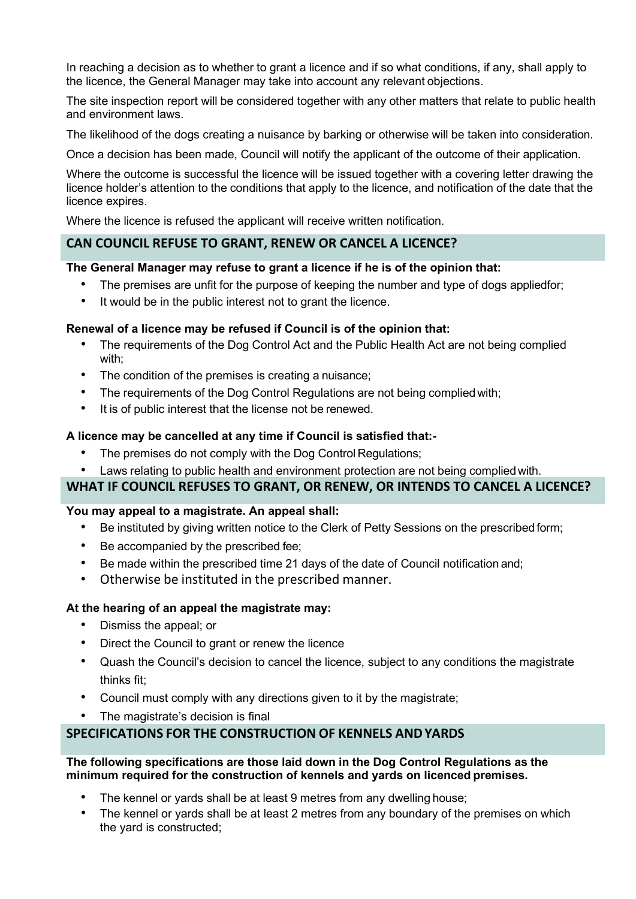In reaching a decision as to whether to grant a licence and if so what conditions, if any, shall apply to the licence, the General Manager may take into account any relevant objections.

The site inspection report will be considered together with any other matters that relate to public health and environment laws.

The likelihood of the dogs creating a nuisance by barking or otherwise will be taken into consideration.

Once a decision has been made, Council will notify the applicant of the outcome of their application.

Where the outcome is successful the licence will be issued together with a covering letter drawing the licence holder's attention to the conditions that apply to the licence, and notification of the date that the licence expires.

Where the licence is refused the applicant will receive written notification.

#### **CAN COUNCIL REFUSE TO GRANT, RENEW OR CANCEL A LICENCE?**

#### **The General Manager may refuse to grant a licence if he is of the opinion that:**

- The premises are unfit for the purpose of keeping the number and type of dogs appliedfor;
- It would be in the public interest not to grant the licence.

#### **Renewal of a licence may be refused if Council is of the opinion that:**

- The requirements of the Dog Control Act and the Public Health Act are not being complied with;
- The condition of the premises is creating a nuisance;
- The requirements of the Dog Control Regulations are not being compliedwith;
- It is of public interest that the license not be renewed.

#### **A licence may be cancelled at any time if Council is satisfied that:-**

- The premises do not comply with the Dog Control Regulations;
- Laws relating to public health and environment protection are not being complied with.

### **WHAT IF COUNCIL REFUSES TO GRANT, OR RENEW, OR INTENDS TO CANCEL A LICENCE?**

#### **You may appeal to a magistrate. An appeal shall:**

- Be instituted by giving written notice to the Clerk of Petty Sessions on the prescribed form;
- Be accompanied by the prescribed fee;
- Be made within the prescribed time 21 days of the date of Council notification and;
- Otherwise be instituted in the prescribed manner.

#### **At the hearing of an appeal the magistrate may:**

- Dismiss the appeal; or
- Direct the Council to grant or renew the licence
- Quash the Council's decision to cancel the licence, subject to any conditions the magistrate thinks fit;
- Council must comply with any directions given to it by the magistrate;
- The magistrate's decision is final

# **SPECIFICATIONS FOR THE CONSTRUCTION OF KENNELS ANDYARDS**

#### **The following specifications are those laid down in the Dog Control Regulations as the minimum required for the construction of kennels and yards on licenced premises.**

- The kennel or yards shall be at least 9 metres from any dwelling house;
- The kennel or yards shall be at least 2 metres from any boundary of the premises on which the yard is constructed;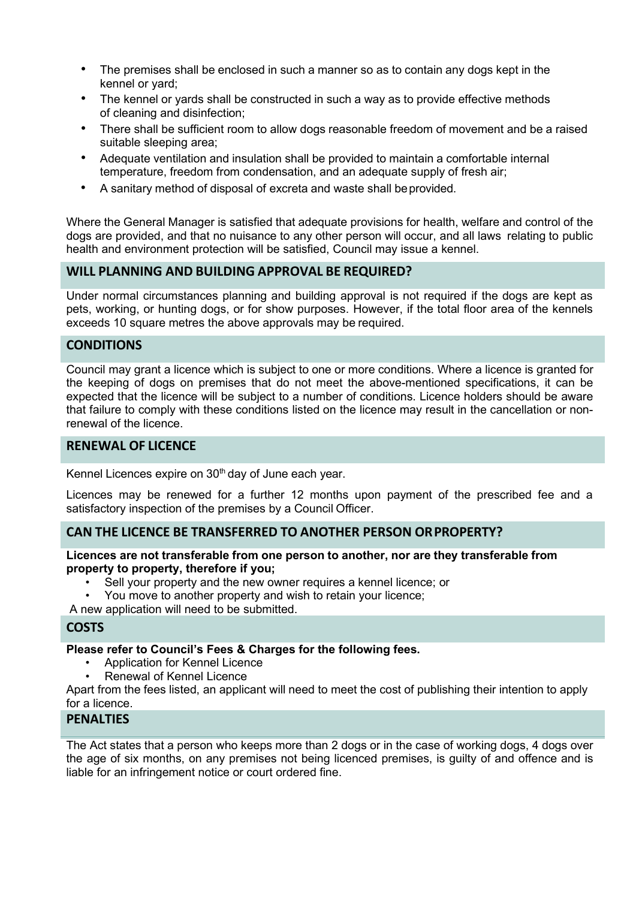- The premises shall be enclosed in such a manner so as to contain any dogs kept in the kennel or yard;
- The kennel or yards shall be constructed in such a way as to provide effective methods of cleaning and disinfection;
- There shall be sufficient room to allow dogs reasonable freedom of movement and be a raised suitable sleeping area;
- Adequate ventilation and insulation shall be provided to maintain a comfortable internal temperature, freedom from condensation, and an adequate supply of fresh air;
- A sanitary method of disposal of excreta and waste shall be provided.

Where the General Manager is satisfied that adequate provisions for health, welfare and control of the dogs are provided, and that no nuisance to any other person will occur, and all laws relating to public health and environment protection will be satisfied, Council may issue a kennel.

#### **WILL PLANNING AND BUILDING APPROVAL BE REQUIRED?**

Under normal circumstances planning and building approval is not required if the dogs are kept as pets, working, or hunting dogs, or for show purposes. However, if the total floor area of the kennels exceeds 10 square metres the above approvals may be required.

#### **CONDITIONS**

Council may grant a licence which is subject to one or more conditions. Where a licence is granted for the keeping of dogs on premises that do not meet the above-mentioned specifications, it can be expected that the licence will be subject to a number of conditions. Licence holders should be aware that failure to comply with these conditions listed on the licence may result in the cancellation or nonrenewal of the licence.

## **RENEWAL OF LICENCE**

Kennel Licences expire on 30<sup>th</sup> day of June each year.

Licences may be renewed for a further 12 months upon payment of the prescribed fee and a satisfactory inspection of the premises by a Council Officer.

# **CAN THE LICENCE BE TRANSFERRED TO ANOTHER PERSON ORPROPERTY?**

**Licences are not transferable from one person to another, nor are they transferable from property to property, therefore if you;**

- Sell your property and the new owner requires a kennel licence; or
- You move to another property and wish to retain your licence;

A new application will need to be submitted.

#### **COSTS**

#### **Please refer to Council's Fees & Charges for the following fees.**

- Application for Kennel Licence
- Renewal of Kennel Licence

Apart from the fees listed, an applicant will need to meet the cost of publishing their intention to apply for a licence.

#### **PENALTIES**

The Act states that a person who keeps more than 2 dogs or in the case of working dogs, 4 dogs over the age of six months, on any premises not being licenced premises, is guilty of and offence and is liable for an infringement notice or court ordered fine.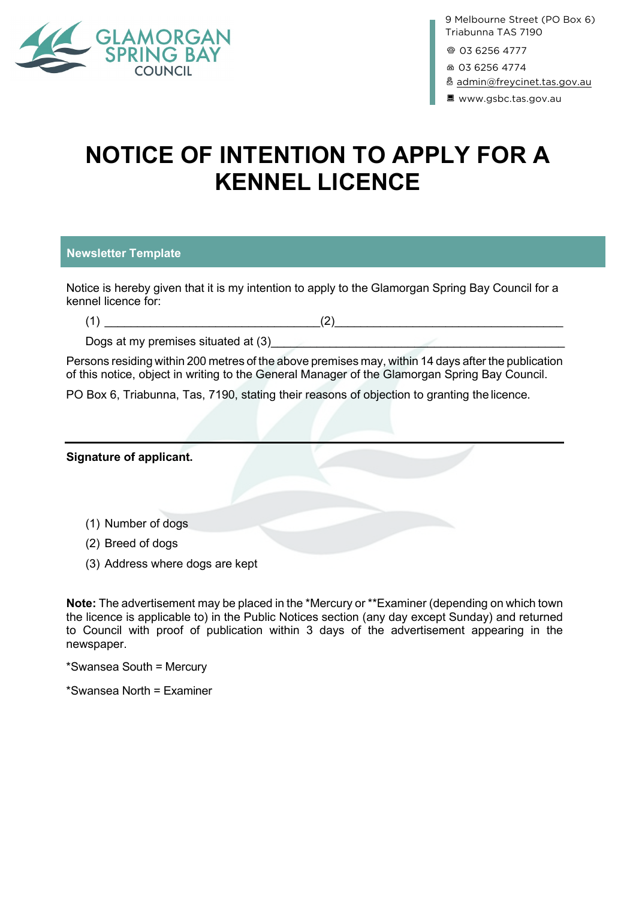

9 Melbourne Street (PO Box 6) Triabunna TAS 7190

@ 03 6256 4777

 $60362564774$ 

& [admin@freycinet.tas.gov.au](mailto:admin@freycinet.tas.gov.au)

B www.gsbc.tas.gov.au

# **NOTICE OF INTENTION TO APPLY FOR A KENNEL LICENCE**

#### **Newsletter Template**

Notice is hereby given that it is my intention to apply to the Glamorgan Spring Bay Council for a kennel licence for:

 $(1)$   $(2)$ 

Dogs at my premises situated at (3)

Persons residing within 200 metres of the above premises may, within 14 days after the publication of this notice, object in writing to the General Manager of the Glamorgan Spring Bay Council.

PO Box 6, Triabunna, Tas, 7190, stating their reasons of objection to granting the licence.

| <b>Signature of applicant.</b>  |  |
|---------------------------------|--|
|                                 |  |
| (1) Number of dogs              |  |
| (2) Breed of dogs               |  |
| (3) Address where dogs are kept |  |

**Note:** The advertisement may be placed in the \*Mercury or \*\*Examiner (depending on which town the licence is applicable to) in the Public Notices section (any day except Sunday) and returned to Council with proof of publication within 3 days of the advertisement appearing in the newspaper.

\*Swansea South = Mercury

\*Swansea North = Examiner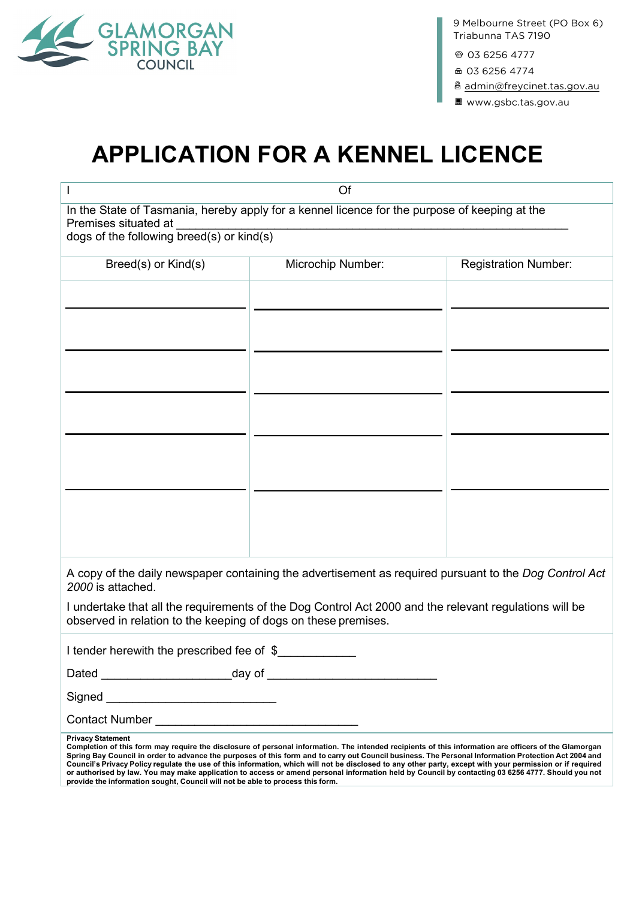

 $@0362564777$ 

F <sup>03</sup> <sup>6256</sup> <sup>4774</sup>

8 [admin@freycinet.tas.gov.au](mailto:admin@freycinet.tas.gov.au)

B www.gsbc.tas.gov.au

# **APPLICATION FOR A KENNEL LICENCE**

| Of                                                                                                                                                                                                                                                                                                                                                                                                                                                                                                                                                                                                                                                                                                                                            |                   |                             |  |
|-----------------------------------------------------------------------------------------------------------------------------------------------------------------------------------------------------------------------------------------------------------------------------------------------------------------------------------------------------------------------------------------------------------------------------------------------------------------------------------------------------------------------------------------------------------------------------------------------------------------------------------------------------------------------------------------------------------------------------------------------|-------------------|-----------------------------|--|
| In the State of Tasmania, hereby apply for a kennel licence for the purpose of keeping at the<br>Premises situated at<br>dogs of the following breed(s) or kind(s)                                                                                                                                                                                                                                                                                                                                                                                                                                                                                                                                                                            |                   |                             |  |
| Breed(s) or Kind(s)                                                                                                                                                                                                                                                                                                                                                                                                                                                                                                                                                                                                                                                                                                                           | Microchip Number: | <b>Registration Number:</b> |  |
|                                                                                                                                                                                                                                                                                                                                                                                                                                                                                                                                                                                                                                                                                                                                               |                   |                             |  |
|                                                                                                                                                                                                                                                                                                                                                                                                                                                                                                                                                                                                                                                                                                                                               |                   |                             |  |
| A copy of the daily newspaper containing the advertisement as required pursuant to the Dog Control Act<br>2000 is attached.<br>I undertake that all the requirements of the Dog Control Act 2000 and the relevant regulations will be<br>observed in relation to the keeping of dogs on these premises.                                                                                                                                                                                                                                                                                                                                                                                                                                       |                   |                             |  |
| I tender herewith the prescribed fee of \$                                                                                                                                                                                                                                                                                                                                                                                                                                                                                                                                                                                                                                                                                                    |                   |                             |  |
|                                                                                                                                                                                                                                                                                                                                                                                                                                                                                                                                                                                                                                                                                                                                               |                   |                             |  |
| Signed <b>Signed Signed Signed</b>                                                                                                                                                                                                                                                                                                                                                                                                                                                                                                                                                                                                                                                                                                            |                   |                             |  |
| <b>Contact Number</b>                                                                                                                                                                                                                                                                                                                                                                                                                                                                                                                                                                                                                                                                                                                         |                   |                             |  |
| <b>Privacy Statement</b><br>Completion of this form may require the disclosure of personal information. The intended recipients of this information are officers of the Glamorgan<br>Spring Bay Council in order to advance the purposes of this form and to carry out Council business. The Personal Information Protection Act 2004 and<br>Council's Privacy Policy regulate the use of this information, which will not be disclosed to any other party, except with your permission or if required<br>or authorised by law. You may make application to access or amend personal information held by Council by contacting 03 6256 4777. Should you not<br>provide the information sought, Council will not be able to process this form. |                   |                             |  |